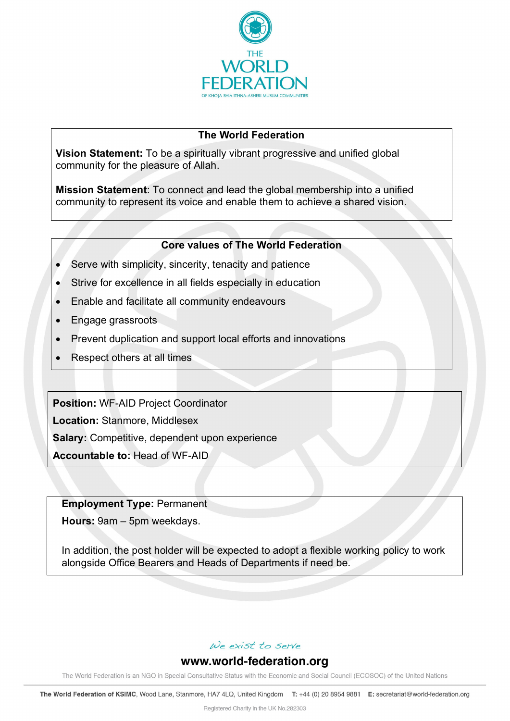

### **The World Federation**

**Vision Statement:** To be a spiritually vibrant progressive and unified global community for the pleasure of Allah.

**Mission Statement**: To connect and lead the global membership into a unified community to represent its voice and enable them to achieve a shared vision.

#### **Core values of The World Federation**

- Serve with simplicity, sincerity, tenacity and patience
- Strive for excellence in all fields especially in education
- Enable and facilitate all community endeavours
- Engage grassroots
- Prevent duplication and support local efforts and innovations
- Respect others at all times

**Position:** WF-AID Project Coordinator

**Location:** Stanmore, Middlesex

**Salary:** Competitive, dependent upon experience

**Accountable to:** Head of WF-AID

**Employment Type:** Permanent

**Hours:** 9am – 5pm weekdays.

In addition, the post holder will be expected to adopt a flexible working policy to work alongside Office Bearers and Heads of Departments if need be.

## We exist to serve

## www.world-federation.org

The World Federation is an NGO in Special Consultative Status with the Economic and Social Council (ECOSOC) of the United Nations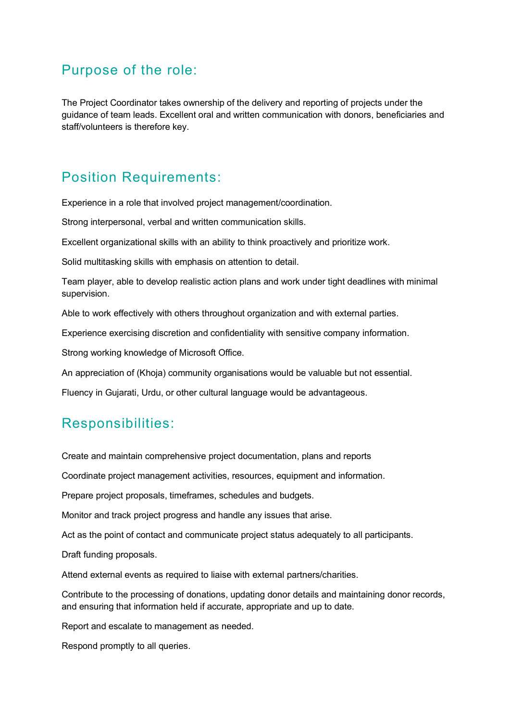## Purpose of the role:

The Project Coordinator takes ownership of the delivery and reporting of projects under the guidance of team leads. Excellent oral and written communication with donors, beneficiaries and staff/volunteers is therefore key.

# Position Requirements:

Experience in a role that involved project management/coordination.

Strong interpersonal, verbal and written communication skills.

Excellent organizational skills with an ability to think proactively and prioritize work.

Solid multitasking skills with emphasis on attention to detail.

Team player, able to develop realistic action plans and work under tight deadlines with minimal supervision.

Able to work effectively with others throughout organization and with external parties.

Experience exercising discretion and confidentiality with sensitive company information.

Strong working knowledge of Microsoft Office.

An appreciation of (Khoja) community organisations would be valuable but not essential.

Fluency in Gujarati, Urdu, or other cultural language would be advantageous.

## Responsibilities:

Create and maintain comprehensive project documentation, plans and reports

Coordinate project management activities, resources, equipment and information.

Prepare project proposals, timeframes, schedules and budgets.

Monitor and track project progress and handle any issues that arise.

Act as the point of contact and communicate project status adequately to all participants.

Draft funding proposals.

Attend external events as required to liaise with external partners/charities.

Contribute to the processing of donations, updating donor details and maintaining donor records, and ensuring that information held if accurate, appropriate and up to date.

Report and escalate to management as needed.

Respond promptly to all queries.